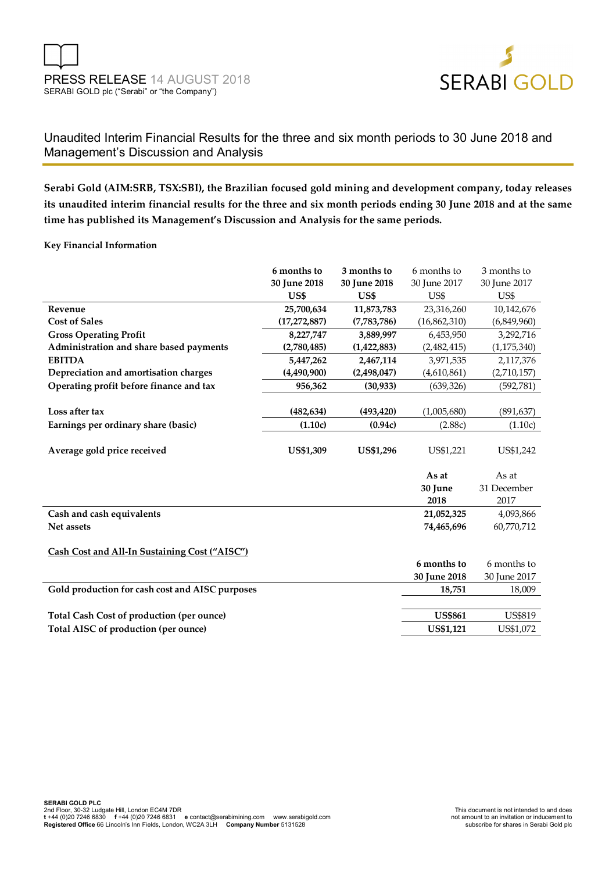

# Unaudited Interim Financial Results for the three and six month periods to 30 June 2018 and Management's Discussion and Analysis

**Serabi Gold (AIM:SRB, TSX:SBI), the Brazilian focused gold mining and development company, today releases its unaudited interim financial results for the three and six month periods ending 30 June 2018 and at the same time has published its Management's Discussion and Analysis for the same periods.** 

**Key Financial Information** 

|                                                  | 6 months to      | 3 months to      | 6 months to      | 3 months to    |
|--------------------------------------------------|------------------|------------------|------------------|----------------|
|                                                  | 30 June 2018     | 30 June 2018     | 30 June 2017     | 30 June 2017   |
|                                                  | US\$             | US\$             | US\$             | US\$           |
| Revenue                                          | 25,700,634       | 11,873,783       | 23,316,260       | 10,142,676     |
| <b>Cost of Sales</b>                             | (17, 272, 887)   | (7,783,786)      | (16,862,310)     | (6,849,960)    |
| <b>Gross Operating Profit</b>                    | 8,227,747        | 3,889,997        | 6,453,950        | 3,292,716      |
| Administration and share based payments          | (2,780,485)      | (1,422,883)      | (2,482,415)      | (1, 175, 340)  |
| <b>EBITDA</b>                                    | 5,447,262        | 2,467,114        | 3,971,535        | 2,117,376      |
| Depreciation and amortisation charges            | (4,490,900)      | (2,498,047)      | (4,610,861)      | (2,710,157)    |
| Operating profit before finance and tax          | 956,362          | (30, 933)        | (639, 326)       | (592, 781)     |
|                                                  |                  |                  |                  |                |
| Loss after tax                                   | (482, 634)       | (493, 420)       | (1,005,680)      | (891, 637)     |
| Earnings per ordinary share (basic)              | (1.10c)          | (0.94c)          | (2.88c)          | (1.10c)        |
|                                                  |                  |                  |                  |                |
| Average gold price received                      | <b>US\$1,309</b> | <b>US\$1,296</b> | US\$1,221        | US\$1,242      |
|                                                  |                  |                  |                  |                |
|                                                  |                  |                  | As at            | As at          |
|                                                  |                  |                  | 30 June          | 31 December    |
|                                                  |                  |                  | 2018             | 2017           |
| Cash and cash equivalents                        |                  |                  | 21,052,325       | 4,093,866      |
| Net assets                                       |                  |                  | 74,465,696       | 60,770,712     |
|                                                  |                  |                  |                  |                |
| Cash Cost and All-In Sustaining Cost ("AISC")    |                  |                  |                  |                |
|                                                  |                  |                  | 6 months to      | 6 months to    |
|                                                  |                  |                  | 30 June 2018     | 30 June 2017   |
| Gold production for cash cost and AISC purposes  |                  |                  | 18,751           | 18,009         |
|                                                  |                  |                  |                  |                |
| <b>Total Cash Cost of production (per ounce)</b> |                  |                  | <b>US\$861</b>   | <b>US\$819</b> |
|                                                  |                  |                  |                  |                |
| Total AISC of production (per ounce)             |                  |                  | <b>US\$1,121</b> | US\$1,072      |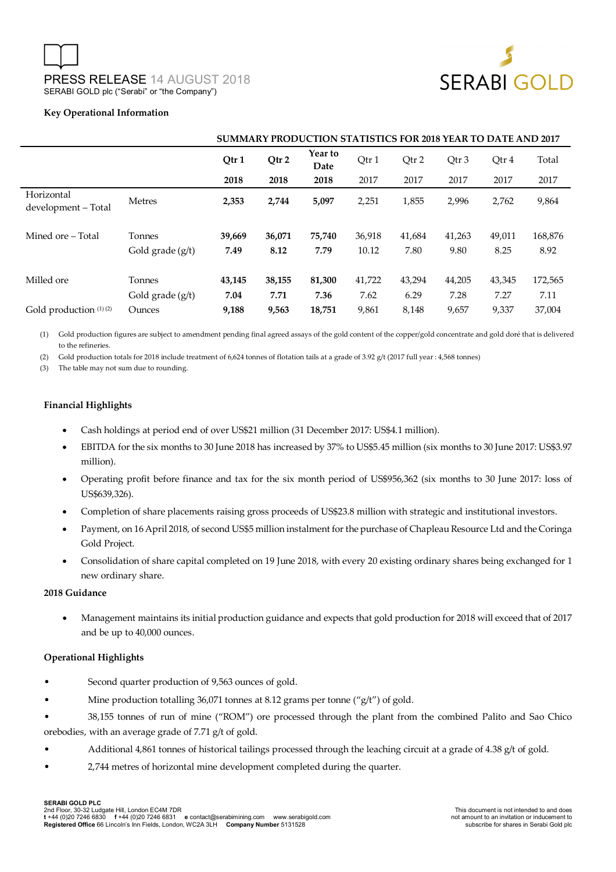

### **Key Operational Information**

|                                   |                    | <b>SUMMARY PRODUCTION STATISTICS FOR 2018 YEAR TO DATE AND 2017</b> |                                            |        |        |        |        |        |         |
|-----------------------------------|--------------------|---------------------------------------------------------------------|--------------------------------------------|--------|--------|--------|--------|--------|---------|
|                                   |                    | Qtr 1                                                               | Year to<br>Qtr 2<br>Qtr 1<br>Qtr 2<br>Date |        |        | Qtr 3  | Otr 4  | Total  |         |
|                                   |                    | 2018                                                                | 2018                                       | 2018   | 2017   | 2017   | 2017   | 2017   | 2017    |
| Horizontal<br>development - Total | <b>Metres</b>      | 2,353                                                               | 2,744                                      | 5,097  | 2,251  | 1,855  | 2,996  | 2,762  | 9,864   |
| Mined ore – Total                 | Tonnes             | 39,669                                                              | 36,071                                     | 75,740 | 36,918 | 41,684 | 41,263 | 49,011 | 168,876 |
|                                   | Gold grade $(g/t)$ | 7.49                                                                | 8.12                                       | 7.79   | 10.12  | 7.80   | 9.80   | 8.25   | 8.92    |
| Milled ore                        | Tonnes             | 43,145                                                              | 38,155                                     | 81,300 | 41,722 | 43,294 | 44,205 | 43,345 | 172,565 |
|                                   | Gold grade (g/t)   | 7.04                                                                | 7.71                                       | 7.36   | 7.62   | 6.29   | 7.28   | 7.27   | 7.11    |
| Gold production (1)(2)            | Ounces             | 9,188                                                               | 9,563                                      | 18,751 | 9,861  | 8,148  | 9,657  | 9,337  | 37,004  |

(1) Gold production figures are subject to amendment pending final agreed assays of the gold content of the copper/gold concentrate and gold doré that is delivered to the refineries.

(2) Gold production totals for 2018 include treatment of 6,624 tonnes of flotation tails at a grade of 3.92 g/t (2017 full year : 4,568 tonnes)

(3) The table may not sum due to rounding.

# **Financial Highlights**

- Cash holdings at period end of over US\$21 million (31 December 2017: US\$4.1 million).
- EBITDA for the six months to 30 June 2018 has increased by 37% to US\$5.45 million (six months to 30 June 2017: US\$3.97 million).
- Operating profit before finance and tax for the six month period of US\$956,362 (six months to 30 June 2017: loss of US\$639,326).
- Completion of share placements raising gross proceeds of US\$23.8 million with strategic and institutional investors.
- Payment, on 16 April 2018, of second US\$5 million instalment for the purchase of Chapleau Resource Ltd and the Coringa Gold Project.
- Consolidation of share capital completed on 19 June 2018, with every 20 existing ordinary shares being exchanged for 1 new ordinary share.

#### **2018 Guidance**

 Management maintains its initial production guidance and expects that gold production for 2018 will exceed that of 2017 and be up to 40,000 ounces.

#### **Operational Highlights**

- Second quarter production of 9,563 ounces of gold.
- Mine production totalling 36,071 tonnes at 8.12 grams per tonne ("g/t") of gold.
- 38,155 tonnes of run of mine ("ROM") ore processed through the plant from the combined Palito and Sao Chico orebodies, with an average grade of 7.71 g/t of gold.
- Additional 4,861 tonnes of historical tailings processed through the leaching circuit at a grade of 4.38 g/t of gold.
- 2,744 metres of horizontal mine development completed during the quarter.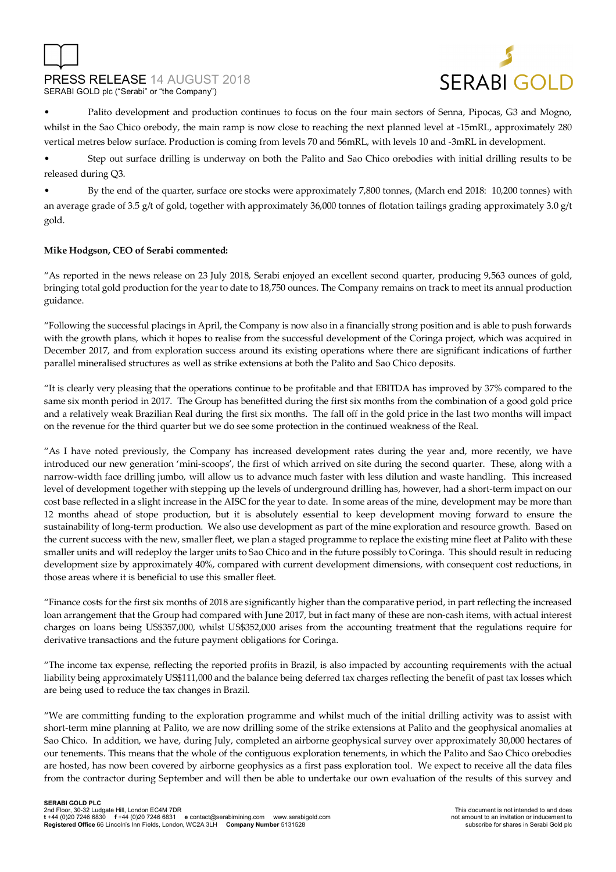

• Palito development and production continues to focus on the four main sectors of Senna, Pipocas, G3 and Mogno, whilst in the Sao Chico orebody, the main ramp is now close to reaching the next planned level at -15mRL, approximately 280 vertical metres below surface. Production is coming from levels 70 and 56mRL, with levels 10 and -3mRL in development.

• Step out surface drilling is underway on both the Palito and Sao Chico orebodies with initial drilling results to be released during Q3.

• By the end of the quarter, surface ore stocks were approximately 7,800 tonnes, (March end 2018: 10,200 tonnes) with an average grade of 3.5 g/t of gold, together with approximately 36,000 tonnes of flotation tailings grading approximately 3.0 g/t gold.

# **Mike Hodgson, CEO of Serabi commented:**

"As reported in the news release on 23 July 2018, Serabi enjoyed an excellent second quarter, producing 9,563 ounces of gold, bringing total gold production for the year to date to 18,750 ounces. The Company remains on track to meet its annual production guidance.

"Following the successful placings in April, the Company is now also in a financially strong position and is able to push forwards with the growth plans, which it hopes to realise from the successful development of the Coringa project, which was acquired in December 2017, and from exploration success around its existing operations where there are significant indications of further parallel mineralised structures as well as strike extensions at both the Palito and Sao Chico deposits.

"It is clearly very pleasing that the operations continue to be profitable and that EBITDA has improved by 37% compared to the same six month period in 2017. The Group has benefitted during the first six months from the combination of a good gold price and a relatively weak Brazilian Real during the first six months. The fall off in the gold price in the last two months will impact on the revenue for the third quarter but we do see some protection in the continued weakness of the Real.

"As I have noted previously, the Company has increased development rates during the year and, more recently, we have introduced our new generation 'mini-scoops', the first of which arrived on site during the second quarter. These, along with a narrow-width face drilling jumbo, will allow us to advance much faster with less dilution and waste handling. This increased level of development together with stepping up the levels of underground drilling has, however, had a short-term impact on our cost base reflected in a slight increase in the AISC for the year to date. In some areas of the mine, development may be more than 12 months ahead of stope production, but it is absolutely essential to keep development moving forward to ensure the sustainability of long-term production. We also use development as part of the mine exploration and resource growth. Based on the current success with the new, smaller fleet, we plan a staged programme to replace the existing mine fleet at Palito with these smaller units and will redeploy the larger units to Sao Chico and in the future possibly to Coringa. This should result in reducing development size by approximately 40%, compared with current development dimensions, with consequent cost reductions, in those areas where it is beneficial to use this smaller fleet.

"Finance costs for the first six months of 2018 are significantly higher than the comparative period, in part reflecting the increased loan arrangement that the Group had compared with June 2017, but in fact many of these are non-cash items, with actual interest charges on loans being US\$357,000, whilst US\$352,000 arises from the accounting treatment that the regulations require for derivative transactions and the future payment obligations for Coringa.

"The income tax expense, reflecting the reported profits in Brazil, is also impacted by accounting requirements with the actual liability being approximately US\$111,000 and the balance being deferred tax charges reflecting the benefit of past tax losses which are being used to reduce the tax changes in Brazil.

"We are committing funding to the exploration programme and whilst much of the initial drilling activity was to assist with short-term mine planning at Palito, we are now drilling some of the strike extensions at Palito and the geophysical anomalies at Sao Chico. In addition, we have, during July, completed an airborne geophysical survey over approximately 30,000 hectares of our tenements. This means that the whole of the contiguous exploration tenements, in which the Palito and Sao Chico orebodies are hosted, has now been covered by airborne geophysics as a first pass exploration tool. We expect to receive all the data files from the contractor during September and will then be able to undertake our own evaluation of the results of this survey and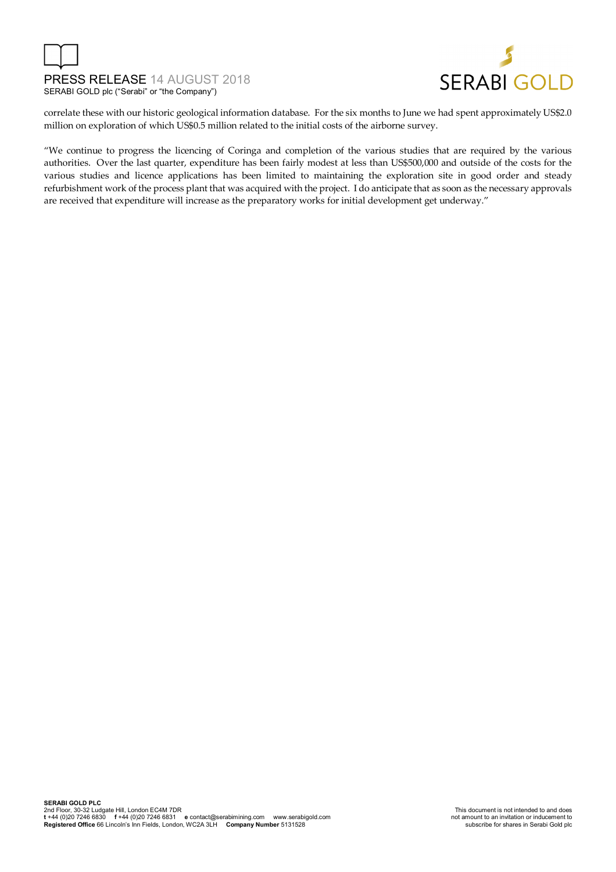



correlate these with our historic geological information database. For the six months to June we had spent approximately US\$2.0 million on exploration of which US\$0.5 million related to the initial costs of the airborne survey.

"We continue to progress the licencing of Coringa and completion of the various studies that are required by the various authorities. Over the last quarter, expenditure has been fairly modest at less than US\$500,000 and outside of the costs for the various studies and licence applications has been limited to maintaining the exploration site in good order and steady refurbishment work of the process plant that was acquired with the project. I do anticipate that as soon as the necessary approvals are received that expenditure will increase as the preparatory works for initial development get underway."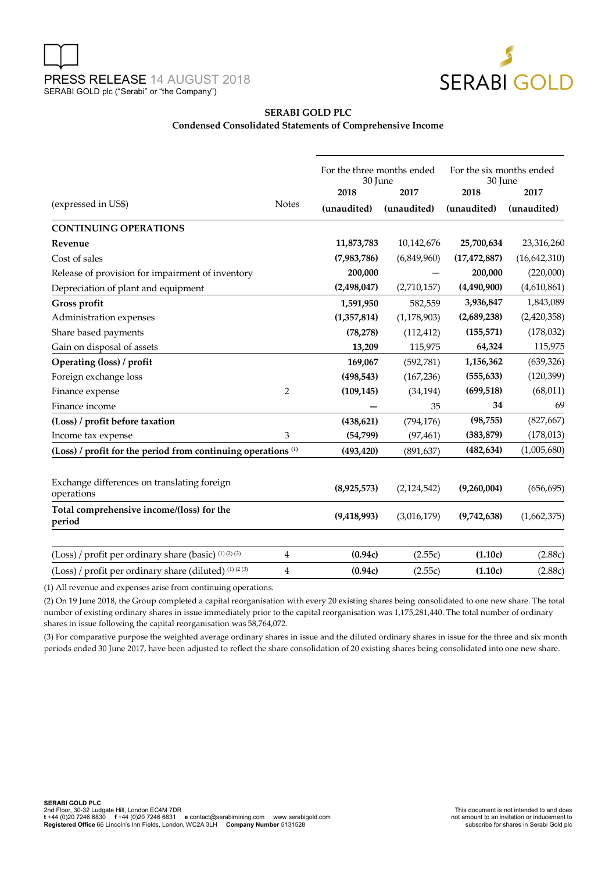

# **SERABI GOLD PLC Condensed Consolidated Statements of Comprehensive Income**

| (expressed in US\$)                                                      | <b>Notes</b>   | For the three months ended<br>30 June<br>2018<br>2017 |               | For the six months ended<br>30 June<br>2018 | 2017         |  |
|--------------------------------------------------------------------------|----------------|-------------------------------------------------------|---------------|---------------------------------------------|--------------|--|
|                                                                          |                | (unaudited)                                           | (unaudited)   | (unaudited)                                 | (unaudited)  |  |
| <b>CONTINUING OPERATIONS</b>                                             |                |                                                       |               |                                             |              |  |
| Revenue                                                                  |                | 11,873,783                                            | 10,142,676    | 25,700,634                                  | 23,316,260   |  |
| Cost of sales                                                            |                | (7,983,786)                                           | (6,849,960)   | (17, 472, 887)                              | (16,642,310) |  |
| Release of provision for impairment of inventory                         |                | 200,000                                               |               | 200,000                                     | (220,000)    |  |
| Depreciation of plant and equipment                                      |                | (2,498,047)                                           | (2,710,157)   | (4,490,900)                                 | (4,610,861)  |  |
| Gross profit                                                             |                | 1,591,950                                             | 582,559       | 3,936,847                                   | 1,843,089    |  |
| Administration expenses                                                  |                | (1,357,814)                                           | (1, 178, 903) | (2,689,238)                                 | (2,420,358)  |  |
| Share based payments                                                     |                | (78, 278)                                             | (112, 412)    | (155, 571)                                  | (178, 032)   |  |
| Gain on disposal of assets                                               |                | 13,209                                                | 115,975       | 64,324                                      | 115,975      |  |
| Operating (loss) / profit                                                |                | 169,067                                               | (592,781)     | 1,156,362                                   | (639, 326)   |  |
| Foreign exchange loss                                                    |                | (498, 543)                                            | (167, 236)    | (555, 633)                                  | (120, 399)   |  |
| Finance expense                                                          | $\overline{2}$ | (109, 145)                                            | (34, 194)     | (699, 518)                                  | (68, 011)    |  |
| Finance income                                                           |                |                                                       | 35            | 34                                          | 69           |  |
| (Loss) / profit before taxation                                          |                | (438, 621)                                            | (794, 176)    | (98, 755)                                   | (827, 667)   |  |
| Income tax expense                                                       | 3              | (54, 799)                                             | (97, 461)     | (383, 879)                                  | (178, 013)   |  |
| (Loss) / profit for the period from continuing operations <sup>(1)</sup> |                | (493, 420)                                            | (891, 637)    | (482, 634)                                  | (1,005,680)  |  |
| Exchange differences on translating foreign<br>operations                |                | (8,925,573)                                           | (2,124,542)   | (9,260,004)                                 | (656, 695)   |  |
| Total comprehensive income/(loss) for the<br>period                      |                | (9,418,993)                                           | (3,016,179)   | (9,742,638)                                 | (1,662,375)  |  |
| (Loss) / profit per ordinary share (basic) (1) (2) (3)                   | $\overline{4}$ | (0.94c)                                               | (2.55c)       | (1.10c)                                     | (2.88c)      |  |
| (Loss) / profit per ordinary share (diluted) (1) (2 (3)                  | $\overline{4}$ | (0.94c)                                               | (2.55c)       | (1.10c)                                     | (2.88c)      |  |

(1) All revenue and expenses arise from continuing operations.

(2) On 19 June 2018, the Group completed a capital reorganisation with every 20 existing shares being consolidated to one new share. The total number of existing ordinary shares in issue immediately prior to the capital reorganisation was 1,175,281,440. The total number of ordinary shares in issue following the capital reorganisation was 58,764,072.

(3) For comparative purpose the weighted average ordinary shares in issue and the diluted ordinary shares in issue for the three and six month periods ended 30 June 2017, have been adjusted to reflect the share consolidation of 20 existing shares being consolidated into one new share.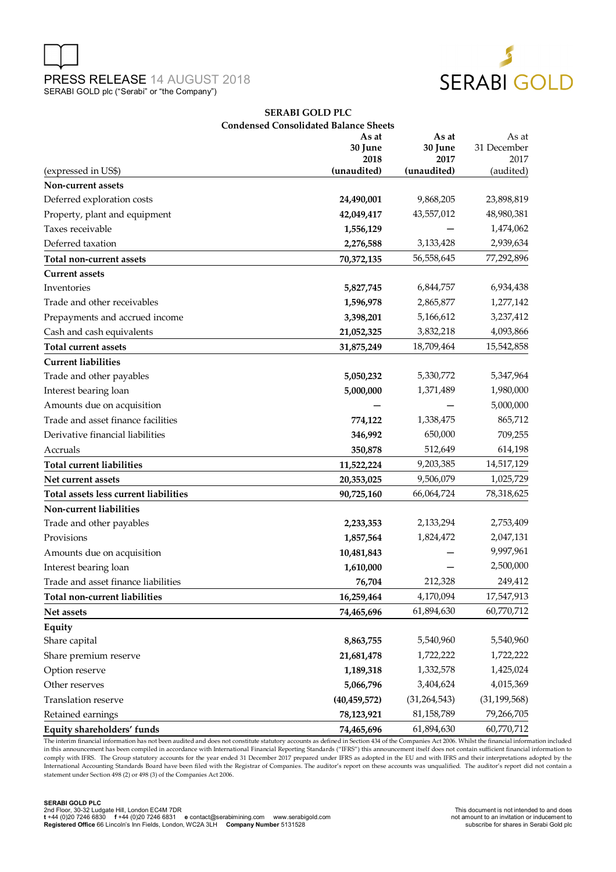



## **SERABI GOLD PLC Condensed Consolidated Balance Sheets**

|                                       | As at<br>30 June<br>2018 | As at<br>30 June<br>2017 | As at<br>31 December<br>2017 |
|---------------------------------------|--------------------------|--------------------------|------------------------------|
| (expressed in US\$)                   | (unaudited)              | (unaudited)              | (audited)                    |
| Non-current assets                    |                          | 9,868,205                |                              |
| Deferred exploration costs            | 24,490,001               |                          | 23,898,819                   |
| Property, plant and equipment         | 42,049,417               | 43,557,012               | 48,980,381                   |
| Taxes receivable                      | 1,556,129                |                          | 1,474,062                    |
| Deferred taxation                     | 2,276,588                | 3,133,428                | 2,939,634                    |
| Total non-current assets              | 70,372,135               | 56,558,645               | 77,292,896                   |
| <b>Current assets</b>                 |                          |                          |                              |
| Inventories                           | 5,827,745                | 6,844,757                | 6,934,438                    |
| Trade and other receivables           | 1,596,978                | 2,865,877                | 1,277,142                    |
| Prepayments and accrued income        | 3,398,201                | 5,166,612                | 3,237,412                    |
| Cash and cash equivalents             | 21,052,325               | 3,832,218                | 4,093,866                    |
| <b>Total current assets</b>           | 31,875,249               | 18,709,464               | 15,542,858                   |
| <b>Current liabilities</b>            |                          |                          |                              |
| Trade and other payables              | 5,050,232                | 5,330,772                | 5,347,964                    |
| Interest bearing loan                 | 5,000,000                | 1,371,489                | 1,980,000                    |
| Amounts due on acquisition            |                          |                          | 5,000,000                    |
| Trade and asset finance facilities    | 774,122                  | 1,338,475                | 865,712                      |
| Derivative financial liabilities      | 346,992                  | 650,000                  | 709,255                      |
| Accruals                              | 350,878                  | 512,649                  | 614,198                      |
| <b>Total current liabilities</b>      | 11,522,224               | 9,203,385                | 14,517,129                   |
| Net current assets                    | 20,353,025               | 9,506,079                | 1,025,729                    |
| Total assets less current liabilities | 90,725,160               | 66,064,724               | 78,318,625                   |
| Non-current liabilities               |                          |                          |                              |
| Trade and other payables              | 2,233,353                | 2,133,294                | 2,753,409                    |
| Provisions                            | 1,857,564                | 1,824,472                | 2,047,131                    |
| Amounts due on acquisition            | 10,481,843               |                          | 9,997,961                    |
| Interest bearing loan                 | 1,610,000                |                          | 2,500,000                    |
| Trade and asset finance liabilities   | 76,704                   | 212,328                  | 249,412                      |
| Total non-current liabilities         | 16,259,464               | 4,170,094                | 17,547,913                   |
| Net assets                            | 74,465,696               | 61,894,630               | 60,770,712                   |
| Equity                                |                          |                          |                              |
| Share capital                         | 8,863,755                | 5,540,960                | 5,540,960                    |
| Share premium reserve                 | 21,681,478               | 1,722,222                | 1,722,222                    |
| Option reserve                        | 1,189,318                | 1,332,578                | 1,425,024                    |
| Other reserves                        | 5,066,796                | 3,404,624                | 4,015,369                    |
| Translation reserve                   | (40, 459, 572)           | (31, 264, 543)           | (31, 199, 568)               |
| Retained earnings                     | 78,123,921               | 81,158,789               | 79,266,705                   |
| Equity shareholders' funds            | 74,465,696               | 61,894,630               | 60,770,712                   |

The interim financial information has not been audited and does not constitute statutory accounts as defined in Section 434 of the Companies Act 2006. Whilst the financial information included in this announcement has been compiled in accordance with International Financial Reporting Standards ("IFRS") this announcement itself does not contain sufficient financial information to comply with IFRS. The Group statutory accounts for the year ended 31 December 2017 prepared under IFRS a adopted in the EU and with IFRS and their interpretations adopted by the<br>International Accounting Standards Board hav statement under Section 498 (2) or 498 (3) of the Companies Act 2006.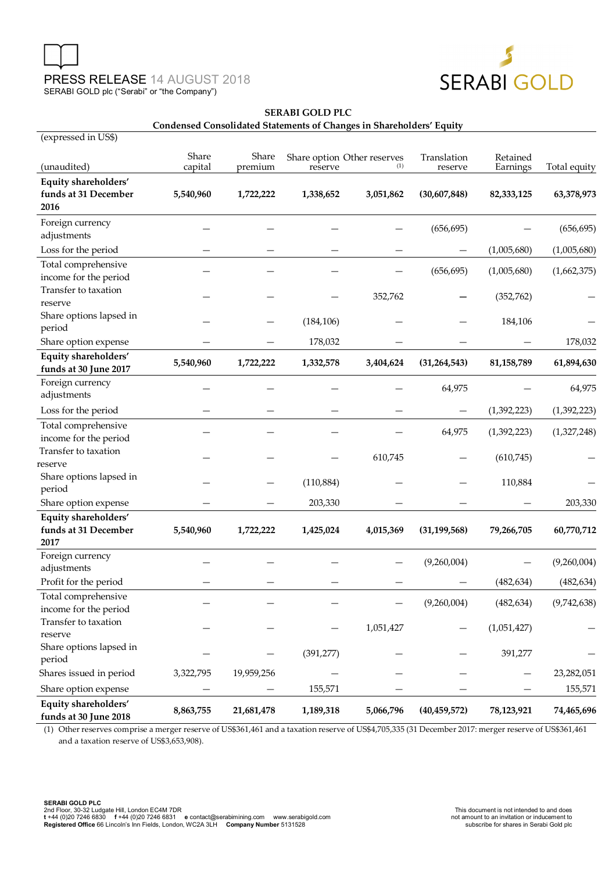$($ us and  $e$  in  $\mathbf{H}$   $\mathbf{C}$  $\phi$ )



# **SERABI GOLD PLC**

## **Condensed Consolidated Statements of Changes in Shareholders' Equity**

| (expressed in US\$)                           |                  |                  |            |                                    |                        |                      |              |
|-----------------------------------------------|------------------|------------------|------------|------------------------------------|------------------------|----------------------|--------------|
| (unaudited)                                   | Share<br>capital | Share<br>premium | reserve    | Share option Other reserves<br>(1) | Translation<br>reserve | Retained<br>Earnings | Total equity |
| Equity shareholders'                          |                  |                  |            |                                    |                        |                      |              |
| funds at 31 December                          | 5,540,960        | 1,722,222        | 1,338,652  | 3,051,862                          | (30,607,848)           | 82,333,125           | 63,378,973   |
| 2016                                          |                  |                  |            |                                    |                        |                      |              |
| Foreign currency                              |                  |                  |            |                                    |                        |                      |              |
| adjustments                                   |                  |                  |            |                                    | (656, 695)             |                      | (656, 695)   |
| Loss for the period                           |                  |                  |            |                                    |                        | (1,005,680)          | (1,005,680)  |
| Total comprehensive                           |                  |                  |            |                                    | (656, 695)             | (1,005,680)          | (1,662,375)  |
| income for the period                         |                  |                  |            |                                    |                        |                      |              |
| Transfer to taxation                          |                  |                  |            | 352,762                            |                        | (352, 762)           |              |
| reserve                                       |                  |                  |            |                                    |                        |                      |              |
| Share options lapsed in                       |                  |                  | (184, 106) |                                    |                        | 184,106              |              |
| period                                        |                  |                  |            |                                    |                        |                      |              |
| Share option expense                          |                  |                  | 178,032    |                                    |                        |                      | 178,032      |
| Equity shareholders'<br>funds at 30 June 2017 | 5,540,960        | 1,722,222        | 1,332,578  | 3,404,624                          | (31, 264, 543)         | 81, 158, 789         | 61,894,630   |
| Foreign currency                              |                  |                  |            |                                    | 64,975                 |                      | 64,975       |
| adjustments                                   |                  |                  |            |                                    |                        |                      |              |
| Loss for the period                           |                  |                  |            |                                    |                        | (1,392,223)          | (1,392,223)  |
| Total comprehensive                           |                  |                  |            |                                    | 64,975                 | (1,392,223)          | (1,327,248)  |
| income for the period                         |                  |                  |            |                                    |                        |                      |              |
| Transfer to taxation                          |                  |                  |            | 610,745                            |                        | (610, 745)           |              |
| reserve                                       |                  |                  |            |                                    |                        |                      |              |
| Share options lapsed in                       |                  |                  | (110, 884) |                                    |                        | 110,884              |              |
| period                                        |                  |                  |            |                                    |                        |                      |              |
| Share option expense                          |                  |                  | 203,330    |                                    |                        |                      | 203,330      |
| Equity shareholders'                          |                  |                  |            |                                    |                        |                      |              |
| funds at 31 December                          | 5,540,960        | 1,722,222        | 1,425,024  | 4,015,369                          | (31, 199, 568)         | 79,266,705           | 60,770,712   |
| 2017                                          |                  |                  |            |                                    |                        |                      |              |
| Foreign currency<br>adjustments               |                  |                  |            |                                    | (9,260,004)            |                      | (9,260,004)  |
| Profit for the period                         |                  |                  |            |                                    |                        | (482, 634)           | (482, 634)   |
| Total comprehensive                           |                  |                  |            |                                    |                        |                      |              |
| income for the period                         |                  |                  |            |                                    | (9,260,004)            | (482, 634)           | (9,742,638)  |
| Transfer to taxation                          |                  |                  |            |                                    |                        |                      |              |
| reserve                                       |                  |                  |            | 1,051,427                          |                        | (1,051,427)          |              |
| Share options lapsed in                       |                  |                  |            |                                    |                        |                      |              |
| period                                        |                  |                  | (391, 277) |                                    |                        | 391,277              |              |
| Shares issued in period                       | 3,322,795        | 19,959,256       |            |                                    |                        |                      | 23,282,051   |
| Share option expense                          |                  |                  | 155,571    |                                    |                        |                      | 155,571      |
| Equity shareholders'<br>funds at 30 June 2018 | 8,863,755        | 21,681,478       | 1,189,318  | 5,066,796                          | (40, 459, 572)         | 78,123,921           | 74,465,696   |

(1) Other reserves comprise a merger reserve of US\$361,461 and a taxation reserve of US\$4,705,335 (31 December 2017: merger reserve of US\$361,461 and a taxation reserve of US\$3,653,908).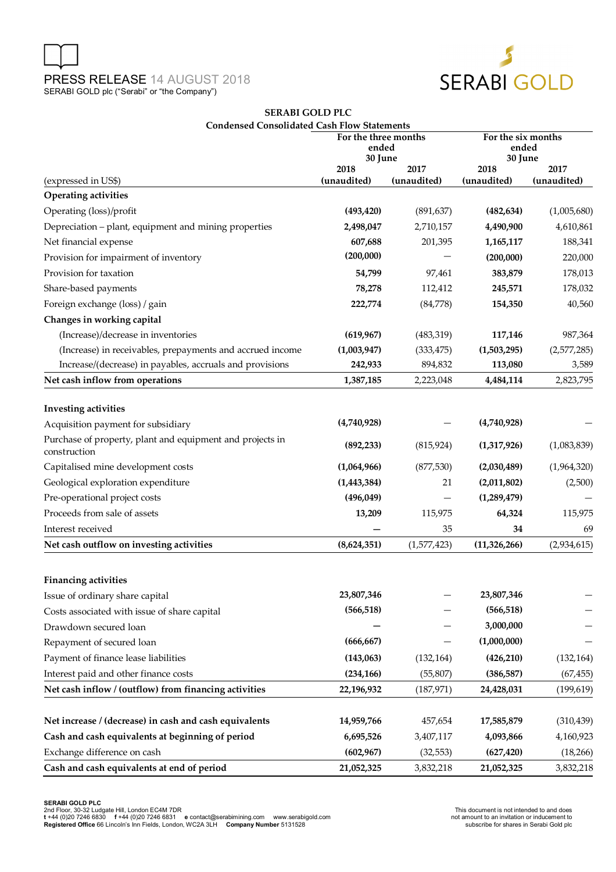



# **SERABI GOLD PLC Condensed Consolidated Cash Flow Statements**

|                                                                           | For the three months<br>ended<br>30 June |             | For the six months<br>ended<br>30 June |             |
|---------------------------------------------------------------------------|------------------------------------------|-------------|----------------------------------------|-------------|
|                                                                           | 2018                                     | 2017        | 2018                                   | 2017        |
| (expressed in US\$)                                                       | (unaudited)                              | (unaudited) | (unaudited)                            | (unaudited) |
| <b>Operating activities</b>                                               |                                          |             |                                        |             |
| Operating (loss)/profit                                                   | (493, 420)                               | (891, 637)  | (482, 634)                             | (1,005,680) |
| Depreciation - plant, equipment and mining properties                     | 2,498,047                                | 2,710,157   | 4,490,900                              | 4,610,861   |
| Net financial expense                                                     | 607,688                                  | 201,395     | 1,165,117                              | 188,341     |
| Provision for impairment of inventory                                     | (200,000)                                |             | (200,000)                              | 220,000     |
| Provision for taxation                                                    | 54,799                                   | 97,461      | 383,879                                | 178,013     |
| Share-based payments                                                      | 78,278                                   | 112,412     | 245,571                                | 178,032     |
| Foreign exchange (loss) / gain                                            | 222,774                                  | (84,778)    | 154,350                                | 40,560      |
| Changes in working capital                                                |                                          |             |                                        |             |
| (Increase)/decrease in inventories                                        | (619, 967)                               | (483, 319)  | 117,146                                | 987,364     |
| (Increase) in receivables, prepayments and accrued income                 | (1,003,947)                              | (333, 475)  | (1,503,295)                            | (2,577,285) |
| Increase/(decrease) in payables, accruals and provisions                  | 242,933                                  | 894,832     | 113,080                                | 3,589       |
| Net cash inflow from operations                                           | 1,387,185                                | 2,223,048   | 4,484,114                              | 2,823,795   |
| <b>Investing activities</b>                                               |                                          |             |                                        |             |
| Acquisition payment for subsidiary                                        | (4,740,928)                              |             | (4,740,928)                            |             |
| Purchase of property, plant and equipment and projects in<br>construction | (892, 233)                               | (815, 924)  | (1,317,926)                            | (1,083,839) |
| Capitalised mine development costs                                        | (1,064,966)                              | (877, 530)  | (2,030,489)                            | (1,964,320) |
| Geological exploration expenditure                                        | (1,443,384)                              | 21          | (2,011,802)                            | (2,500)     |
| Pre-operational project costs                                             | (496, 049)                               |             | (1,289,479)                            |             |
| Proceeds from sale of assets                                              | 13,209                                   | 115,975     | 64,324                                 | 115,975     |
| Interest received                                                         |                                          | 35          | 34                                     | 69          |
| Net cash outflow on investing activities                                  | (8,624,351)                              | (1,577,423) | (11, 326, 266)                         | (2,934,615) |
|                                                                           |                                          |             |                                        |             |
| <b>Financing activities</b>                                               | 23,807,346                               |             | 23,807,346                             |             |
| Issue of ordinary share capital                                           | (566, 518)                               |             | (566, 518)                             |             |
| Costs associated with issue of share capital                              |                                          |             | 3,000,000                              |             |
| Drawdown secured loan                                                     | (666, 667)                               |             | (1,000,000)                            |             |
| Repayment of secured loan                                                 |                                          |             |                                        |             |
| Payment of finance lease liabilities                                      | (143,063)                                | (132, 164)  | (426, 210)                             | (132, 164)  |
| Interest paid and other finance costs                                     | (234, 166)                               | (55, 807)   | (386, 587)                             | (67, 455)   |
| Net cash inflow / (outflow) from financing activities                     | 22,196,932                               | (187, 971)  | 24,428,031                             | (199, 619)  |
| Net increase / (decrease) in cash and cash equivalents                    | 14,959,766                               | 457,654     | 17,585,879                             | (310, 439)  |
| Cash and cash equivalents at beginning of period                          | 6,695,526                                | 3,407,117   | 4,093,866                              | 4,160,923   |
| Exchange difference on cash                                               | (602, 967)                               | (32, 553)   | (627, 420)                             | (18, 266)   |
| Cash and cash equivalents at end of period                                | 21,052,325                               | 3,832,218   | 21,052,325                             | 3,832,218   |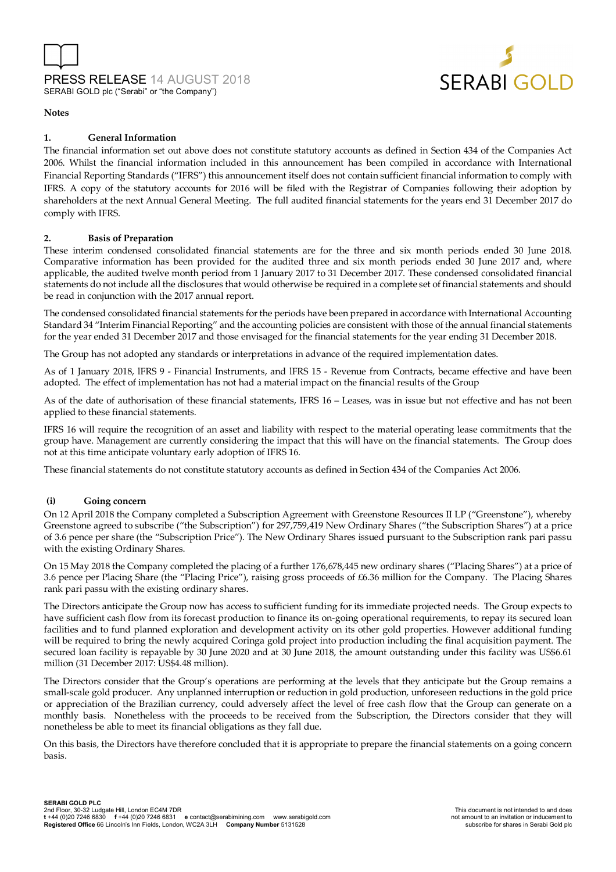



#### **Notes**

# **1. General Information**

The financial information set out above does not constitute statutory accounts as defined in Section 434 of the Companies Act 2006. Whilst the financial information included in this announcement has been compiled in accordance with International Financial Reporting Standards ("IFRS") this announcement itself does not contain sufficient financial information to comply with IFRS. A copy of the statutory accounts for 2016 will be filed with the Registrar of Companies following their adoption by shareholders at the next Annual General Meeting. The full audited financial statements for the years end 31 December 2017 do comply with IFRS.

#### **2. Basis of Preparation**

These interim condensed consolidated financial statements are for the three and six month periods ended 30 June 2018. Comparative information has been provided for the audited three and six month periods ended 30 June 2017 and, where applicable, the audited twelve month period from 1 January 2017 to 31 December 2017. These condensed consolidated financial statements do not include all the disclosures that would otherwise be required in a complete set of financial statements and should be read in conjunction with the 2017 annual report.

The condensed consolidated financial statements for the periods have been prepared in accordance with International Accounting Standard 34 "Interim Financial Reporting" and the accounting policies are consistent with those of the annual financial statements for the year ended 31 December 2017 and those envisaged for the financial statements for the year ending 31 December 2018.

The Group has not adopted any standards or interpretations in advance of the required implementation dates.

As of 1 January 2018, lFRS 9 - Financial Instruments, and lFRS 15 - Revenue from Contracts, became effective and have been adopted. The effect of implementation has not had a material impact on the financial results of the Group

As of the date of authorisation of these financial statements, IFRS 16 – Leases, was in issue but not effective and has not been applied to these financial statements.

IFRS 16 will require the recognition of an asset and liability with respect to the material operating lease commitments that the group have. Management are currently considering the impact that this will have on the financial statements. The Group does not at this time anticipate voluntary early adoption of IFRS 16.

These financial statements do not constitute statutory accounts as defined in Section 434 of the Companies Act 2006.

#### **(i) Going concern**

On 12 April 2018 the Company completed a Subscription Agreement with Greenstone Resources II LP ("Greenstone"), whereby Greenstone agreed to subscribe ("the Subscription") for 297,759,419 New Ordinary Shares ("the Subscription Shares") at a price of 3.6 pence per share (the "Subscription Price"). The New Ordinary Shares issued pursuant to the Subscription rank pari passu with the existing Ordinary Shares.

On 15 May 2018 the Company completed the placing of a further 176,678,445 new ordinary shares ("Placing Shares") at a price of 3.6 pence per Placing Share (the "Placing Price"), raising gross proceeds of £6.36 million for the Company. The Placing Shares rank pari passu with the existing ordinary shares.

The Directors anticipate the Group now has access to sufficient funding for its immediate projected needs. The Group expects to have sufficient cash flow from its forecast production to finance its on-going operational requirements, to repay its secured loan facilities and to fund planned exploration and development activity on its other gold properties. However additional funding will be required to bring the newly acquired Coringa gold project into production including the final acquisition payment. The secured loan facility is repayable by 30 June 2020 and at 30 June 2018, the amount outstanding under this facility was US\$6.61 million (31 December 2017: US\$4.48 million).

The Directors consider that the Group's operations are performing at the levels that they anticipate but the Group remains a small-scale gold producer. Any unplanned interruption or reduction in gold production, unforeseen reductions in the gold price or appreciation of the Brazilian currency, could adversely affect the level of free cash flow that the Group can generate on a monthly basis. Nonetheless with the proceeds to be received from the Subscription, the Directors consider that they will nonetheless be able to meet its financial obligations as they fall due.

On this basis, the Directors have therefore concluded that it is appropriate to prepare the financial statements on a going concern basis.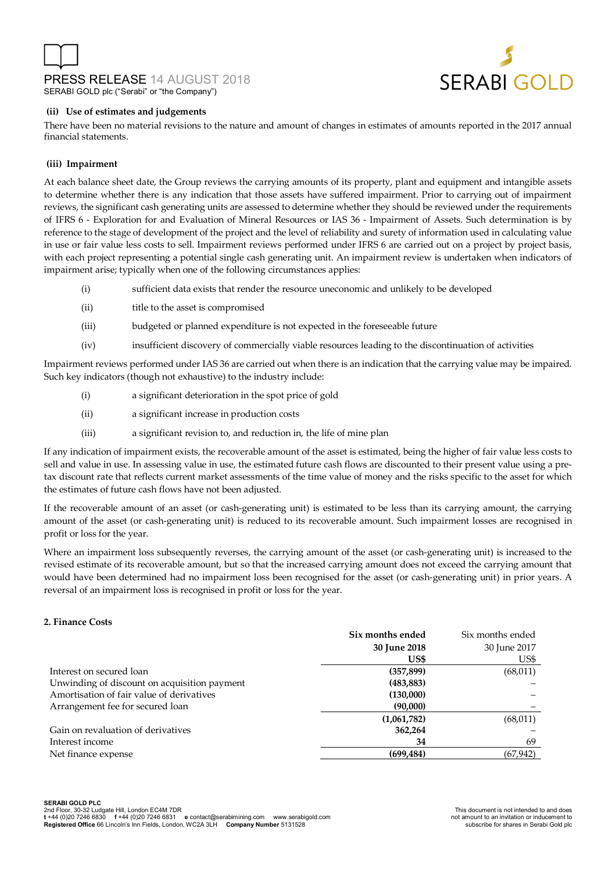



### **(ii) Use of estimates and judgements**

There have been no material revisions to the nature and amount of changes in estimates of amounts reported in the 2017 annual financial statements.

# **(iii) Impairment**

At each balance sheet date, the Group reviews the carrying amounts of its property, plant and equipment and intangible assets to determine whether there is any indication that those assets have suffered impairment. Prior to carrying out of impairment reviews, the significant cash generating units are assessed to determine whether they should be reviewed under the requirements of IFRS 6 - Exploration for and Evaluation of Mineral Resources or IAS 36 - Impairment of Assets. Such determination is by reference to the stage of development of the project and the level of reliability and surety of information used in calculating value in use or fair value less costs to sell. Impairment reviews performed under IFRS 6 are carried out on a project by project basis, with each project representing a potential single cash generating unit. An impairment review is undertaken when indicators of impairment arise; typically when one of the following circumstances applies:

- (i) sufficient data exists that render the resource uneconomic and unlikely to be developed
- (ii) title to the asset is compromised
- (iii) budgeted or planned expenditure is not expected in the foreseeable future
- (iv) insufficient discovery of commercially viable resources leading to the discontinuation of activities

Impairment reviews performed under IAS 36 are carried out when there is an indication that the carrying value may be impaired. Such key indicators (though not exhaustive) to the industry include:

- (i) a significant deterioration in the spot price of gold
- (ii) a significant increase in production costs
- (iii) a significant revision to, and reduction in, the life of mine plan

If any indication of impairment exists, the recoverable amount of the asset is estimated, being the higher of fair value less costs to sell and value in use. In assessing value in use, the estimated future cash flows are discounted to their present value using a pretax discount rate that reflects current market assessments of the time value of money and the risks specific to the asset for which the estimates of future cash flows have not been adjusted.

If the recoverable amount of an asset (or cash-generating unit) is estimated to be less than its carrying amount, the carrying amount of the asset (or cash-generating unit) is reduced to its recoverable amount. Such impairment losses are recognised in profit or loss for the year.

Where an impairment loss subsequently reverses, the carrying amount of the asset (or cash-generating unit) is increased to the revised estimate of its recoverable amount, but so that the increased carrying amount does not exceed the carrying amount that would have been determined had no impairment loss been recognised for the asset (or cash-generating unit) in prior years. A reversal of an impairment loss is recognised in profit or loss for the year.

#### **2. Finance Costs**

|                                              | Six months ended | Six months ended |
|----------------------------------------------|------------------|------------------|
|                                              | 30 June 2018     | 30 June 2017     |
|                                              | US\$             | US\$             |
| Interest on secured loan                     | (357, 899)       | (68, 011)        |
| Unwinding of discount on acquisition payment | (483, 883)       |                  |
| Amortisation of fair value of derivatives    | (130,000)        |                  |
| Arrangement fee for secured loan             | (90,000)         |                  |
|                                              | (1,061,782)      | (68,011)         |
| Gain on revaluation of derivatives           | 362,264          |                  |
| Interest income                              | 34               | 69               |
| Net finance expense                          | (699, 484)       | (67, 942)        |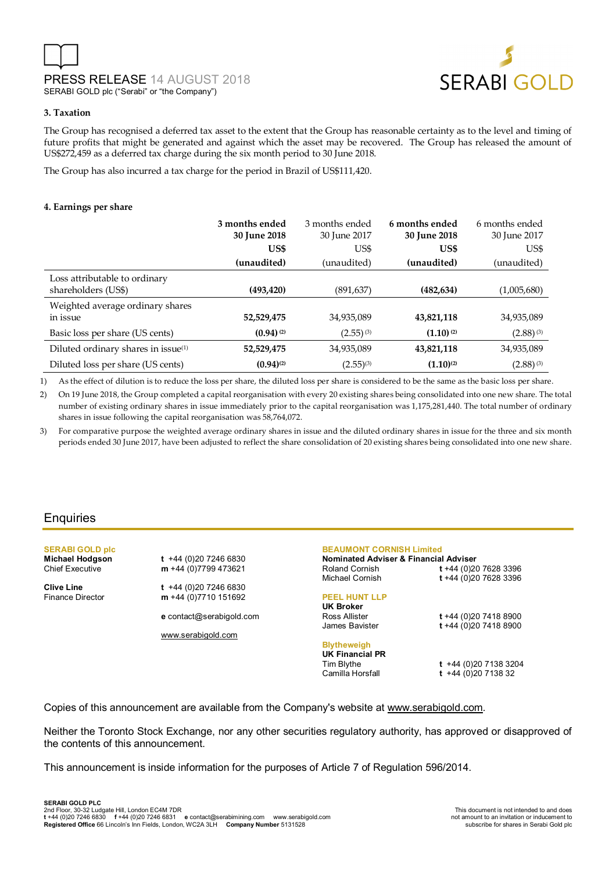

# **3. Taxation**

The Group has recognised a deferred tax asset to the extent that the Group has reasonable certainty as to the level and timing of future profits that might be generated and against which the asset may be recovered. The Group has released the amount of US\$272,459 as a deferred tax charge during the six month period to 30 June 2018.

The Group has also incurred a tax charge for the period in Brazil of US\$111,420.

## **4. Earnings per share**

|                                                      | 3 months ended<br>30 June 2018 | 3 months ended<br>30 June 2017 | 6 months ended<br>30 June 2018 | 6 months ended<br>30 June 2017 |
|------------------------------------------------------|--------------------------------|--------------------------------|--------------------------------|--------------------------------|
|                                                      | US\$                           | US\$                           | US\$                           | US\$                           |
|                                                      | (unaudited)                    | (unaudited)                    | (unaudited)                    | (unaudited)                    |
| Loss attributable to ordinary<br>shareholders (US\$) | (493, 420)                     | (891, 637)                     | (482, 634)                     | (1,005,680)                    |
| Weighted average ordinary shares<br>in issue         | 52,529,475                     | 34,935,089                     | 43,821,118                     | 34,935,089                     |
| Basic loss per share (US cents)                      | $(0.94)$ <sup>(2)</sup>        | $(2.55)^{(3)}$                 | $(1.10)$ <sup>(2)</sup>        | $(2.88)^{(3)}$                 |
| Diluted ordinary shares in issue <sup>(1)</sup>      | 52,529,475                     | 34,935,089                     | 43,821,118                     | 34,935,089                     |
| Diluted loss per share (US cents)                    | $(0.94)^{(2)}$                 | $(2.55)^{(3)}$                 | $(1.10)^{(2)}$                 | $(2.88)^{(3)}$                 |

1) As the effect of dilution is to reduce the loss per share, the diluted loss per share is considered to be the same as the basic loss per share.

2) On 19 June 2018, the Group completed a capital reorganisation with every 20 existing shares being consolidated into one new share. The total number of existing ordinary shares in issue immediately prior to the capital reorganisation was 1,175,281,440. The total number of ordinary shares in issue following the capital reorganisation was 58,764,072.

3) For comparative purpose the weighted average ordinary shares in issue and the diluted ordinary shares in issue for the three and six month periods ended 30 June 2017, have been adjusted to reflect the share consolidation of 20 existing shares being consolidated into one new share.

# **Enquiries**

**SERABI GOLD plc** 

**Michael Hodgson t** +44 (0)20 7246 6830 Chief Executive **m** +44 (0)7799 473621

**Clive Line t** +44 (0)20 7246 6830 Finance Director **m** +44 (0)7710 151692

**e** contact@serabigold.com

www.serabigold.com

# **BEAUMONT CORNISH Limited**

**Nominated Adviser & Financial Adviser**  Roland Cornish **t** +44 (0)20 7628 3396 Michael Cornish **t** +44 (0)20 7628 3396

# **PEEL HUNT LLP UK Broker**

James Bavister **t** +44 (0)20 7418 8900

# **Blytheweigh**

**UK Financial PR** 

Tim Blythe **t** +44 (0)20 7138 3204 Camilla Horsfall **t** +44 (0)20 7138 32

Ross Allister **t** +44 (0)20 7418 8900

Copies of this announcement are available from the Company's website at www.serabigold.com.

Neither the Toronto Stock Exchange, nor any other securities regulatory authority, has approved or disapproved of the contents of this announcement.

This announcement is inside information for the purposes of Article 7 of Regulation 596/2014.